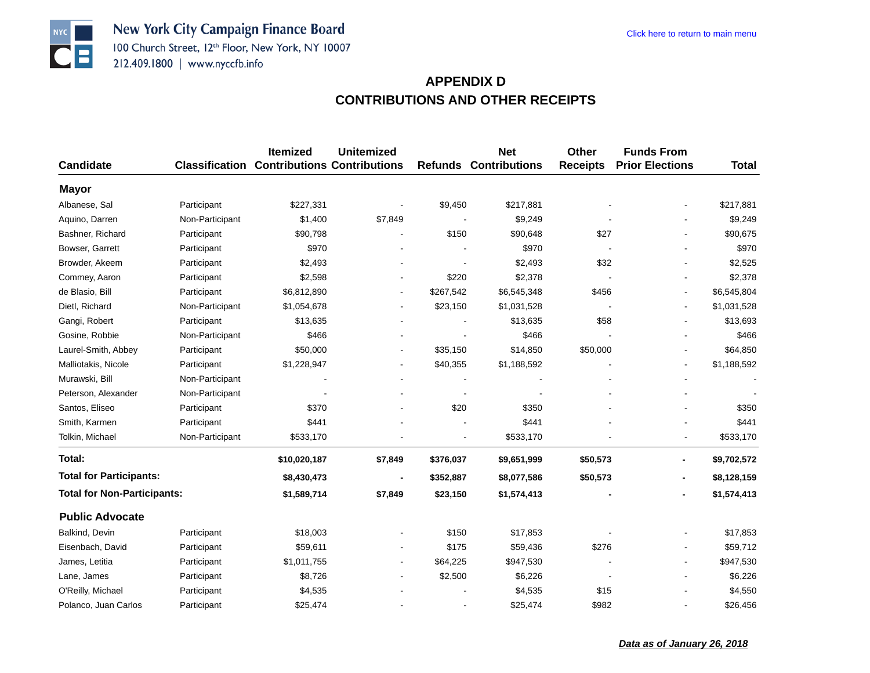New York City Campaign Finance Board 100 Church Street, 12th Floor, New York, NY 10007 212.409.1800 | www.nyccfb.info

**NYC** 

 $| \bullet | =$ 

| <b>Candidate</b>                   |                 | <b>Itemized</b><br><b>Classification Contributions Contributions</b> | Unitemized                   |           | <b>Net</b><br><b>Refunds Contributions</b> | Other<br><b>Receipts</b> | <b>Funds From</b><br><b>Prior Elections</b> | <b>Total</b> |
|------------------------------------|-----------------|----------------------------------------------------------------------|------------------------------|-----------|--------------------------------------------|--------------------------|---------------------------------------------|--------------|
|                                    |                 |                                                                      |                              |           |                                            |                          |                                             |              |
| <b>Mayor</b>                       |                 |                                                                      |                              |           |                                            |                          |                                             |              |
| Albanese, Sal                      | Participant     | \$227,331                                                            |                              | \$9,450   | \$217,881                                  |                          |                                             | \$217,881    |
| Aquino, Darren                     | Non-Participant | \$1,400                                                              | \$7,849                      |           | \$9,249                                    |                          |                                             | \$9,249      |
| Bashner, Richard                   | Participant     | \$90,798                                                             |                              | \$150     | \$90,648                                   | \$27                     |                                             | \$90,675     |
| Bowser, Garrett                    | Participant     | \$970                                                                |                              |           | \$970                                      |                          |                                             | \$970        |
| Browder, Akeem                     | Participant     | \$2,493                                                              |                              |           | \$2,493                                    | \$32                     |                                             | \$2,525      |
| Commey, Aaron                      | Participant     | \$2,598                                                              | $\overline{\phantom{a}}$     | \$220     | \$2,378                                    |                          |                                             | \$2,378      |
| de Blasio, Bill                    | Participant     | \$6,812,890                                                          | $\blacksquare$               | \$267,542 | \$6,545,348                                | \$456                    |                                             | \$6,545,804  |
| Dietl, Richard                     | Non-Participant | \$1,054,678                                                          | $\blacksquare$               | \$23,150  | \$1,031,528                                |                          |                                             | \$1,031,528  |
| Gangi, Robert                      | Participant     | \$13,635                                                             | $\qquad \qquad \blacksquare$ |           | \$13,635                                   | \$58                     |                                             | \$13,693     |
| Gosine, Robbie                     | Non-Participant | \$466                                                                |                              |           | \$466                                      |                          |                                             | \$466        |
| Laurel-Smith, Abbey                | Participant     | \$50,000                                                             | $\overline{\phantom{a}}$     | \$35,150  | \$14,850                                   | \$50,000                 |                                             | \$64,850     |
| Malliotakis, Nicole                | Participant     | \$1,228,947                                                          | $\overline{\phantom{a}}$     | \$40,355  | \$1,188,592                                |                          |                                             | \$1,188,592  |
| Murawski, Bill                     | Non-Participant |                                                                      |                              |           |                                            |                          |                                             |              |
| Peterson, Alexander                | Non-Participant |                                                                      |                              |           |                                            |                          |                                             |              |
| Santos, Eliseo                     | Participant     | \$370                                                                | $\blacksquare$               | \$20      | \$350                                      |                          |                                             | \$350        |
| Smith, Karmen                      | Participant     | \$441                                                                |                              |           | \$441                                      |                          |                                             | \$441        |
| Tolkin, Michael                    | Non-Participant | \$533,170                                                            |                              | L,        | \$533,170                                  |                          |                                             | \$533,170    |
| Total:                             |                 | \$10,020,187                                                         | \$7,849                      | \$376,037 | \$9,651,999                                | \$50,573                 | $\overline{\phantom{0}}$                    | \$9,702,572  |
| <b>Total for Participants:</b>     |                 | \$8,430,473                                                          |                              | \$352,887 | \$8,077,586                                | \$50,573                 |                                             | \$8,128,159  |
| <b>Total for Non-Participants:</b> |                 | \$1,589,714                                                          | \$7,849                      | \$23,150  | \$1,574,413                                |                          |                                             | \$1,574,413  |
| <b>Public Advocate</b>             |                 |                                                                      |                              |           |                                            |                          |                                             |              |
| Balkind, Devin                     | Participant     | \$18,003                                                             |                              | \$150     | \$17,853                                   |                          |                                             | \$17,853     |
| Eisenbach, David                   | Participant     | \$59,611                                                             |                              | \$175     | \$59,436                                   | \$276                    |                                             | \$59,712     |
| James, Letitia                     | Participant     | \$1,011,755                                                          |                              | \$64,225  | \$947,530                                  |                          |                                             | \$947,530    |
| Lane, James                        | Participant     | \$8,726                                                              | $\qquad \qquad \blacksquare$ | \$2,500   | \$6,226                                    |                          |                                             | \$6,226      |
| O'Reilly, Michael                  | Participant     | \$4,535                                                              |                              |           | \$4,535                                    | \$15                     |                                             | \$4,550      |
| Polanco, Juan Carlos               | Participant     | \$25,474                                                             |                              |           | \$25,474                                   | \$982                    |                                             | \$26,456     |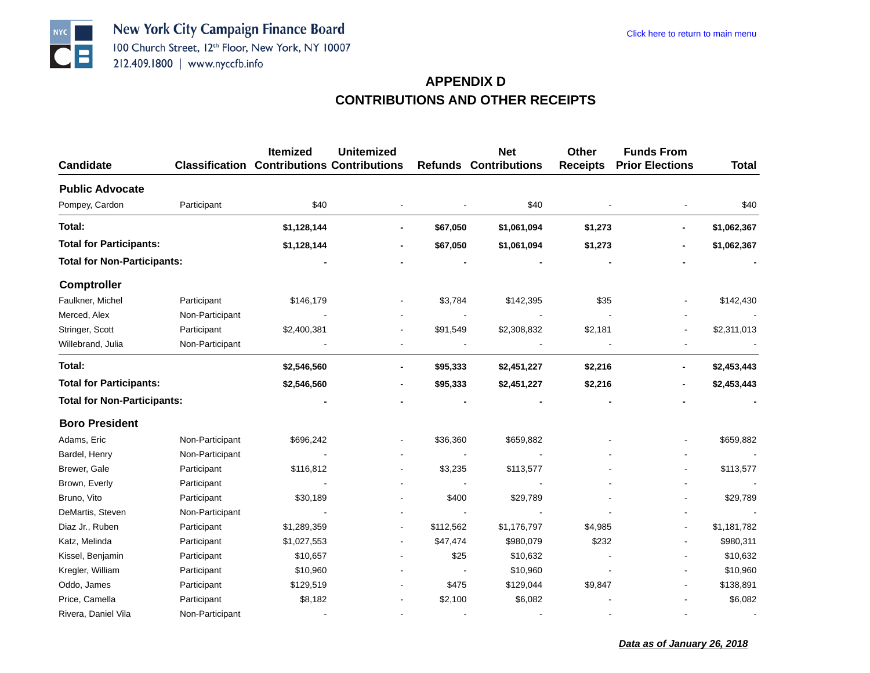

| Candidate                          |                 | <b>Itemized</b><br><b>Classification Contributions Contributions</b> | <b>Unitemized</b> |           | <b>Net</b><br><b>Refunds Contributions</b> | <b>Other</b><br><b>Receipts</b> | <b>Funds From</b><br><b>Prior Elections</b> | <b>Total</b> |
|------------------------------------|-----------------|----------------------------------------------------------------------|-------------------|-----------|--------------------------------------------|---------------------------------|---------------------------------------------|--------------|
|                                    |                 |                                                                      |                   |           |                                            |                                 |                                             |              |
| <b>Public Advocate</b>             |                 |                                                                      |                   |           |                                            |                                 |                                             |              |
| Pompey, Cardon                     | Participant     | \$40                                                                 |                   |           | \$40                                       |                                 |                                             | \$40         |
| Total:                             |                 | \$1,128,144                                                          |                   | \$67,050  | \$1,061,094                                | \$1,273                         |                                             | \$1,062,367  |
| <b>Total for Participants:</b>     |                 | \$1,128,144                                                          |                   | \$67,050  | \$1,061,094                                | \$1,273                         |                                             | \$1,062,367  |
| <b>Total for Non-Participants:</b> |                 |                                                                      |                   |           |                                            |                                 |                                             |              |
| <b>Comptroller</b>                 |                 |                                                                      |                   |           |                                            |                                 |                                             |              |
| Faulkner, Michel                   | Participant     | \$146,179                                                            |                   | \$3,784   | \$142,395                                  | \$35                            |                                             | \$142,430    |
| Merced, Alex                       | Non-Participant |                                                                      |                   |           |                                            |                                 |                                             |              |
| Stringer, Scott                    | Participant     | \$2,400,381                                                          |                   | \$91,549  | \$2,308,832                                | \$2,181                         |                                             | \$2,311,013  |
| Willebrand, Julia                  | Non-Participant |                                                                      |                   |           |                                            |                                 |                                             |              |
| Total:                             |                 | \$2,546,560                                                          |                   | \$95,333  | \$2,451,227                                | \$2,216                         |                                             | \$2,453,443  |
| <b>Total for Participants:</b>     |                 | \$2,546,560                                                          |                   | \$95,333  | \$2,451,227                                | \$2,216                         |                                             | \$2,453,443  |
| <b>Total for Non-Participants:</b> |                 |                                                                      |                   |           |                                            |                                 |                                             |              |
| <b>Boro President</b>              |                 |                                                                      |                   |           |                                            |                                 |                                             |              |
| Adams, Eric                        | Non-Participant | \$696,242                                                            |                   | \$36,360  | \$659,882                                  |                                 |                                             | \$659,882    |
| Bardel, Henry                      | Non-Participant |                                                                      |                   |           |                                            |                                 |                                             |              |
| Brewer, Gale                       | Participant     | \$116,812                                                            |                   | \$3,235   | \$113,577                                  |                                 |                                             | \$113,577    |
| Brown, Everly                      | Participant     |                                                                      |                   |           |                                            |                                 |                                             |              |
| Bruno, Vito                        | Participant     | \$30,189                                                             |                   | \$400     | \$29,789                                   |                                 |                                             | \$29,789     |
| DeMartis, Steven                   | Non-Participant |                                                                      |                   |           |                                            |                                 |                                             |              |
| Diaz Jr., Ruben                    | Participant     | \$1,289,359                                                          |                   | \$112,562 | \$1,176,797                                | \$4,985                         |                                             | \$1,181,782  |
| Katz, Melinda                      | Participant     | \$1,027,553                                                          |                   | \$47,474  | \$980,079                                  | \$232                           |                                             | \$980,311    |
| Kissel, Benjamin                   | Participant     | \$10,657                                                             |                   | \$25      | \$10,632                                   |                                 |                                             | \$10,632     |
| Kregler, William                   | Participant     | \$10,960                                                             |                   |           | \$10,960                                   |                                 |                                             | \$10,960     |
| Oddo, James                        | Participant     | \$129,519                                                            |                   | \$475     | \$129,044                                  | \$9,847                         |                                             | \$138,891    |
| Price, Camella                     | Participant     | \$8,182                                                              |                   | \$2,100   | \$6,082                                    |                                 |                                             | \$6,082      |
| Rivera, Daniel Vila                | Non-Participant |                                                                      |                   |           |                                            |                                 |                                             |              |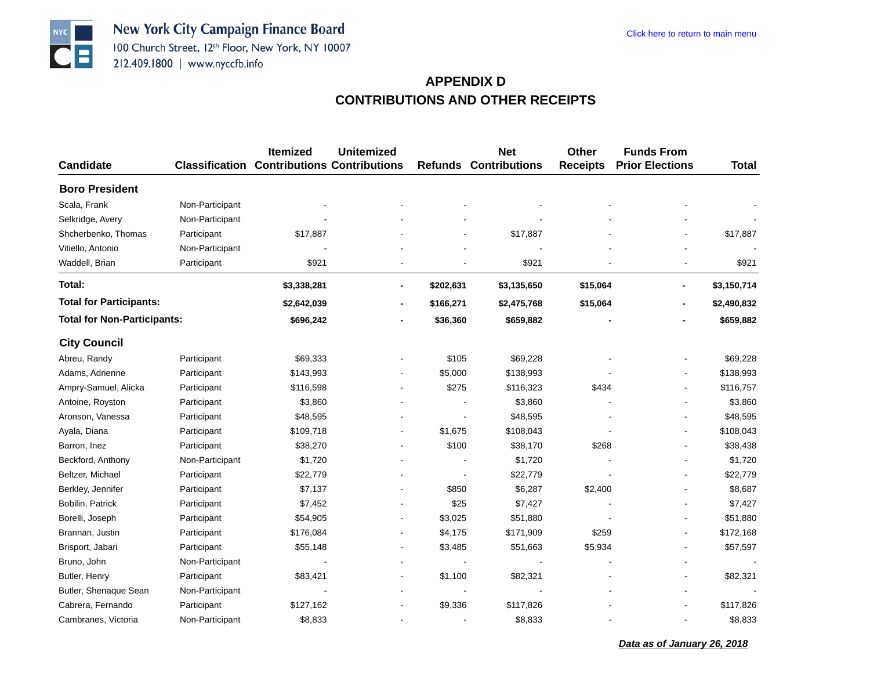**NYC** 

 $| \bullet | =$ 

|                                    |                 | <b>Itemized</b>                                   | <b>Unitemized</b>            |           | <b>Net</b>                   | <b>Other</b>    | <b>Funds From</b>      |              |
|------------------------------------|-----------------|---------------------------------------------------|------------------------------|-----------|------------------------------|-----------------|------------------------|--------------|
| <b>Candidate</b>                   |                 | <b>Classification Contributions Contributions</b> |                              |           | <b>Refunds Contributions</b> | <b>Receipts</b> | <b>Prior Elections</b> | <b>Total</b> |
| <b>Boro President</b>              |                 |                                                   |                              |           |                              |                 |                        |              |
| Scala, Frank                       | Non-Participant |                                                   |                              |           |                              |                 |                        |              |
| Selkridge, Avery                   | Non-Participant |                                                   |                              |           |                              |                 |                        |              |
| Shcherbenko, Thomas                | Participant     | \$17,887                                          |                              |           | \$17,887                     |                 |                        | \$17,887     |
| Vitiello, Antonio                  | Non-Participant |                                                   |                              |           |                              |                 |                        |              |
| Waddell, Brian                     | Participant     | \$921                                             | $\blacksquare$               |           | \$921                        |                 |                        | \$921        |
| Total:                             |                 | \$3,338,281                                       | $\overline{\phantom{a}}$     | \$202,631 | \$3,135,650                  | \$15,064        | $\blacksquare$         | \$3,150,714  |
| <b>Total for Participants:</b>     |                 | \$2,642,039                                       | $\overline{a}$               | \$166,271 | \$2,475,768                  | \$15,064        |                        | \$2,490,832  |
| <b>Total for Non-Participants:</b> |                 | \$696,242                                         |                              | \$36,360  | \$659,882                    |                 |                        | \$659,882    |
| <b>City Council</b>                |                 |                                                   |                              |           |                              |                 |                        |              |
| Abreu, Randy                       | Participant     | \$69,333                                          |                              | \$105     | \$69,228                     |                 |                        | \$69,228     |
| Adams, Adrienne                    | Participant     | \$143,993                                         | $\blacksquare$               | \$5,000   | \$138,993                    |                 |                        | \$138,993    |
| Ampry-Samuel, Alicka               | Participant     | \$116,598                                         | $\overline{\phantom{a}}$     | \$275     | \$116,323                    | \$434           |                        | \$116,757    |
| Antoine, Royston                   | Participant     | \$3,860                                           | $\blacksquare$               |           | \$3,860                      |                 |                        | \$3,860      |
| Aronson, Vanessa                   | Participant     | \$48,595                                          |                              |           | \$48,595                     |                 |                        | \$48,595     |
| Ayala, Diana                       | Participant     | \$109,718                                         | $\overline{\phantom{a}}$     | \$1,675   | \$108,043                    |                 |                        | \$108,043    |
| Barron, Inez                       | Participant     | \$38,270                                          | $\blacksquare$               | \$100     | \$38,170                     | \$268           |                        | \$38,438     |
| Beckford, Anthony                  | Non-Participant | \$1,720                                           |                              |           | \$1,720                      |                 |                        | \$1,720      |
| Beltzer, Michael                   | Participant     | \$22,779                                          |                              |           | \$22,779                     |                 |                        | \$22,779     |
| Berkley, Jennifer                  | Participant     | \$7,137                                           |                              | \$850     | \$6,287                      | \$2,400         |                        | \$8,687      |
| Bobilin, Patrick                   | Participant     | \$7,452                                           |                              | \$25      | \$7,427                      |                 |                        | \$7,427      |
| Borelli, Joseph                    | Participant     | \$54,905                                          | $\overline{a}$               | \$3,025   | \$51,880                     |                 |                        | \$51,880     |
| Brannan, Justin                    | Participant     | \$176,084                                         | $\overline{a}$               | \$4,175   | \$171,909                    | \$259           |                        | \$172,168    |
| Brisport, Jabari                   | Participant     | \$55,148                                          | $\blacksquare$               | \$3,485   | \$51,663                     | \$5,934         |                        | \$57,597     |
| Bruno, John                        | Non-Participant |                                                   | $\blacksquare$               |           |                              |                 |                        |              |
| Butler, Henry                      | Participant     | \$83,421                                          | $\qquad \qquad \blacksquare$ | \$1,100   | \$82,321                     |                 |                        | \$82,321     |
| Butler, Shenaque Sean              | Non-Participant |                                                   |                              |           |                              |                 |                        |              |
| Cabrera, Fernando                  | Participant     | \$127,162                                         |                              | \$9,336   | \$117,826                    |                 |                        | \$117,826    |
| Cambranes, Victoria                | Non-Participant | \$8,833                                           |                              |           | \$8,833                      |                 |                        | \$8,833      |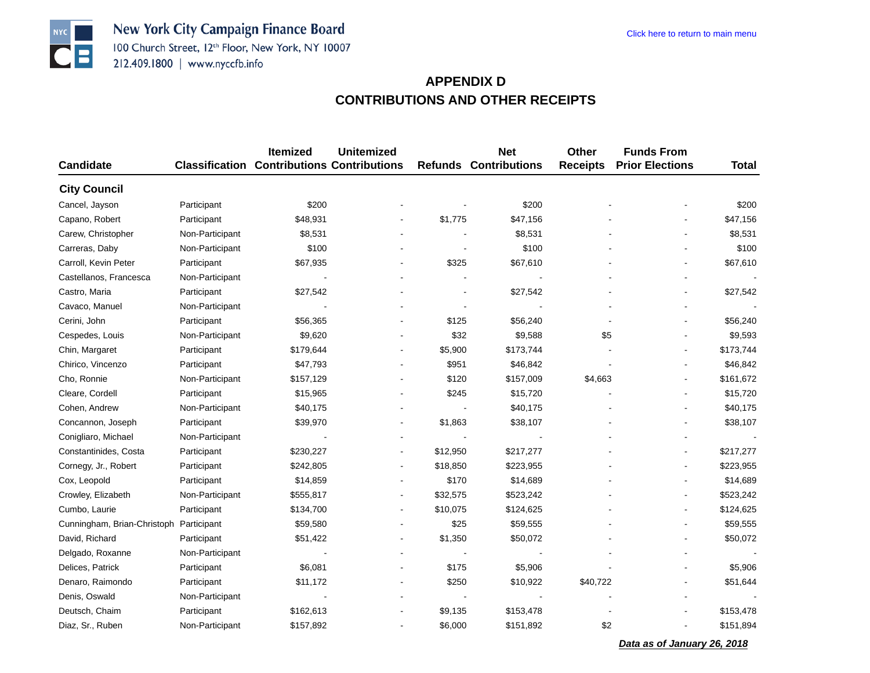New York City Campaign Finance Board 100 Church Street, 12th Floor, New York, NY 10007 212.409.1800 | www.nyccfb.info

# **APPENDIX DCONTRIBUTIONS AND OTHER RECEIPTS**

|                             |                 | <b>Itemized</b>                                   | <b>Unitemized</b>        |                | <b>Net</b>                   | <b>Other</b>    | <b>Funds From</b>      |              |
|-----------------------------|-----------------|---------------------------------------------------|--------------------------|----------------|------------------------------|-----------------|------------------------|--------------|
| <b>Candidate</b>            |                 | <b>Classification Contributions Contributions</b> |                          |                | <b>Refunds Contributions</b> | <b>Receipts</b> | <b>Prior Elections</b> | <b>Total</b> |
| <b>City Council</b>         |                 |                                                   |                          |                |                              |                 |                        |              |
| Cancel, Jayson              | Participant     | \$200                                             |                          |                | \$200                        |                 |                        | \$200        |
| Capano, Robert              | Participant     | \$48,931                                          |                          | \$1,775        | \$47,156                     |                 |                        | \$47,156     |
| Carew, Christopher          | Non-Participant | \$8,531                                           |                          |                | \$8,531                      |                 |                        | \$8,531      |
| Carreras, Daby              | Non-Participant | \$100                                             |                          |                | \$100                        |                 |                        | \$100        |
| Carroll, Kevin Peter        | Participant     | \$67,935                                          |                          | \$325          | \$67,610                     |                 |                        | \$67,610     |
| Castellanos, Francesca      | Non-Participant |                                                   |                          |                |                              |                 |                        |              |
| Castro, Maria               | Participant     | \$27,542                                          |                          |                | \$27,542                     |                 |                        | \$27,542     |
| Cavaco, Manuel              | Non-Participant |                                                   |                          | $\overline{a}$ |                              |                 |                        |              |
| Cerini, John                | Participant     | \$56,365                                          |                          | \$125          | \$56,240                     |                 |                        | \$56,240     |
| Cespedes, Louis             | Non-Participant | \$9,620                                           |                          | \$32           | \$9,588                      | \$5             |                        | \$9,593      |
| Chin, Margaret              | Participant     | \$179,644                                         |                          | \$5,900        | \$173,744                    |                 |                        | \$173,744    |
| Chirico, Vincenzo           | Participant     | \$47,793                                          |                          | \$951          | \$46,842                     |                 |                        | \$46,842     |
| Cho, Ronnie                 | Non-Participant | \$157,129                                         |                          | \$120          | \$157,009                    | \$4,663         |                        | \$161,672    |
| Cleare, Cordell             | Participant     | \$15,965                                          |                          | \$245          | \$15,720                     |                 |                        | \$15,720     |
| Cohen, Andrew               | Non-Participant | \$40,175                                          | $\overline{\phantom{a}}$ |                | \$40,175                     |                 |                        | \$40,175     |
| Concannon, Joseph           | Participant     | \$39,970                                          |                          | \$1,863        | \$38,107                     |                 |                        | \$38,107     |
| Conigliaro, Michael         | Non-Participant |                                                   |                          |                |                              |                 |                        |              |
| Constantinides, Costa       | Participant     | \$230,227                                         |                          | \$12,950       | \$217,277                    |                 |                        | \$217,277    |
| Cornegy, Jr., Robert        | Participant     | \$242,805                                         |                          | \$18,850       | \$223,955                    |                 |                        | \$223,955    |
| Cox, Leopold                | Participant     | \$14,859                                          |                          | \$170          | \$14,689                     |                 |                        | \$14,689     |
| Crowley, Elizabeth          | Non-Participant | \$555,817                                         |                          | \$32,575       | \$523,242                    |                 |                        | \$523,242    |
| Cumbo, Laurie               | Participant     | \$134,700                                         | $\blacksquare$           | \$10,075       | \$124,625                    |                 |                        | \$124,625    |
| Cunningham, Brian-Christoph | Participant     | \$59,580                                          |                          | \$25           | \$59,555                     |                 |                        | \$59,555     |
| David, Richard              | Participant     | \$51,422                                          | $\overline{\phantom{a}}$ | \$1,350        | \$50,072                     |                 |                        | \$50,072     |
| Delgado, Roxanne            | Non-Participant |                                                   |                          |                |                              |                 |                        |              |
| Delices, Patrick            | Participant     | \$6,081                                           |                          | \$175          | \$5,906                      |                 |                        | \$5,906      |
| Denaro, Raimondo            | Participant     | \$11,172                                          |                          | \$250          | \$10,922                     | \$40,722        |                        | \$51,644     |
| Denis, Oswald               | Non-Participant |                                                   |                          |                |                              |                 |                        |              |
| Deutsch, Chaim              | Participant     | \$162,613                                         |                          | \$9,135        | \$153,478                    |                 |                        | \$153,478    |
| Diaz, Sr., Ruben            | Non-Participant | \$157,892                                         |                          | \$6,000        | \$151,892                    | \$2             |                        | \$151,894    |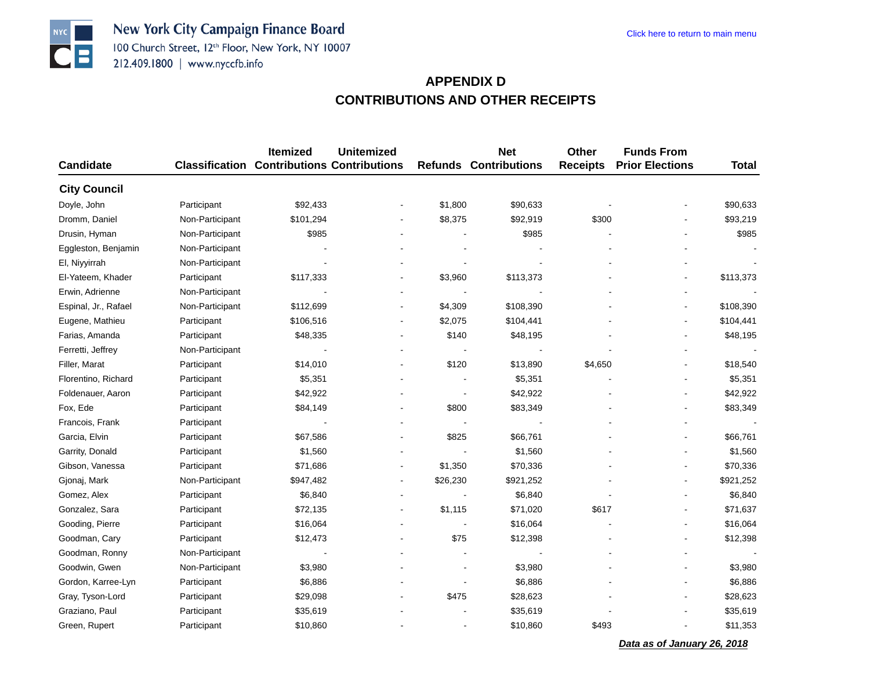New York City Campaign Finance Board 100 Church Street, 12th Floor, New York, NY 10007 212.409.1800 | www.nyccfb.info

# **APPENDIX DCONTRIBUTIONS AND OTHER RECEIPTS**

|                      |                 | Itemized                                          | <b>Unitemized</b>        |                          | <b>Net</b>                   | Other           | <b>Funds From</b>      |              |
|----------------------|-----------------|---------------------------------------------------|--------------------------|--------------------------|------------------------------|-----------------|------------------------|--------------|
| <b>Candidate</b>     |                 | <b>Classification Contributions Contributions</b> |                          |                          | <b>Refunds Contributions</b> | <b>Receipts</b> | <b>Prior Elections</b> | <b>Total</b> |
| <b>City Council</b>  |                 |                                                   |                          |                          |                              |                 |                        |              |
| Doyle, John          | Participant     | \$92,433                                          |                          | \$1,800                  | \$90,633                     |                 |                        | \$90,633     |
| Dromm, Daniel        | Non-Participant | \$101,294                                         |                          | \$8,375                  | \$92,919                     | \$300           |                        | \$93,219     |
| Drusin, Hyman        | Non-Participant | \$985                                             |                          |                          | \$985                        |                 |                        | \$985        |
| Eggleston, Benjamin  | Non-Participant |                                                   |                          |                          |                              |                 |                        |              |
| El, Niyyirrah        | Non-Participant |                                                   |                          |                          |                              |                 |                        |              |
| El-Yateem, Khader    | Participant     | \$117,333                                         |                          | \$3,960                  | \$113,373                    |                 |                        | \$113,373    |
| Erwin, Adrienne      | Non-Participant |                                                   |                          |                          |                              |                 |                        |              |
| Espinal, Jr., Rafael | Non-Participant | \$112,699                                         |                          | \$4,309                  | \$108,390                    |                 |                        | \$108,390    |
| Eugene, Mathieu      | Participant     | \$106,516                                         |                          | \$2,075                  | \$104,441                    |                 |                        | \$104,441    |
| Farias, Amanda       | Participant     | \$48,335                                          |                          | \$140                    | \$48,195                     |                 |                        | \$48,195     |
| Ferretti, Jeffrey    | Non-Participant |                                                   |                          |                          |                              |                 |                        |              |
| Filler, Marat        | Participant     | \$14,010                                          |                          | \$120                    | \$13,890                     | \$4,650         |                        | \$18,540     |
| Florentino, Richard  | Participant     | \$5,351                                           |                          |                          | \$5,351                      |                 |                        | \$5,351      |
| Foldenauer, Aaron    | Participant     | \$42,922                                          |                          | $\overline{\phantom{a}}$ | \$42,922                     |                 |                        | \$42,922     |
| Fox, Ede             | Participant     | \$84,149                                          |                          | \$800                    | \$83,349                     |                 |                        | \$83,349     |
| Francois, Frank      | Participant     |                                                   |                          |                          |                              |                 |                        |              |
| Garcia, Elvin        | Participant     | \$67,586                                          |                          | \$825                    | \$66,761                     |                 |                        | \$66,761     |
| Garrity, Donald      | Participant     | \$1,560                                           |                          |                          | \$1,560                      |                 |                        | \$1,560      |
| Gibson, Vanessa      | Participant     | \$71,686                                          |                          | \$1,350                  | \$70,336                     |                 |                        | \$70,336     |
| Gjonaj, Mark         | Non-Participant | \$947,482                                         | $\overline{\phantom{a}}$ | \$26,230                 | \$921,252                    |                 |                        | \$921,252    |
| Gomez, Alex          | Participant     | \$6,840                                           |                          |                          | \$6,840                      |                 |                        | \$6,840      |
| Gonzalez, Sara       | Participant     | \$72,135                                          |                          | \$1,115                  | \$71,020                     | \$617           |                        | \$71,637     |
| Gooding, Pierre      | Participant     | \$16,064                                          |                          | $\blacksquare$           | \$16,064                     |                 |                        | \$16,064     |
| Goodman, Cary        | Participant     | \$12,473                                          |                          | \$75                     | \$12,398                     |                 |                        | \$12,398     |
| Goodman, Ronny       | Non-Participant |                                                   |                          |                          |                              |                 |                        |              |
| Goodwin, Gwen        | Non-Participant | \$3,980                                           |                          | $\blacksquare$           | \$3,980                      |                 |                        | \$3,980      |
| Gordon, Karree-Lyn   | Participant     | \$6,886                                           |                          |                          | \$6,886                      |                 |                        | \$6,886      |
| Gray, Tyson-Lord     | Participant     | \$29,098                                          |                          | \$475                    | \$28,623                     |                 |                        | \$28,623     |
| Graziano, Paul       | Participant     | \$35,619                                          |                          |                          | \$35,619                     |                 |                        | \$35,619     |
| Green, Rupert        | Participant     | \$10,860                                          |                          | $\overline{\phantom{a}}$ | \$10,860                     | \$493           |                        | \$11,353     |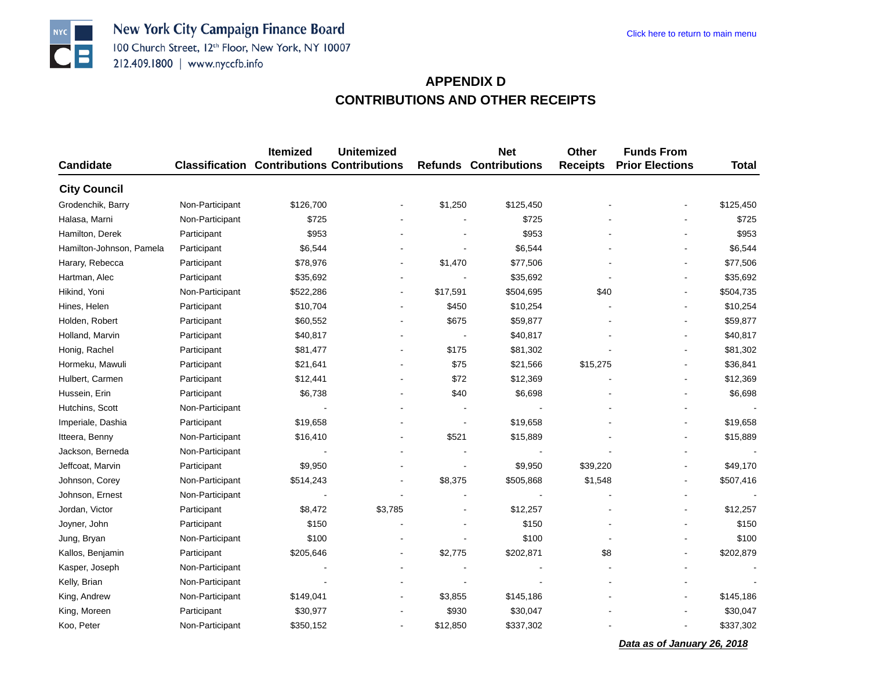New York City Campaign Finance Board 100 Church Street, 12th Floor, New York, NY 10007 212.409.1800 | www.nyccfb.info

**NYC** 

 $| \bullet | =$ 

### **APPENDIX DCONTRIBUTIONS AND OTHER RECEIPTS**

|                          |                 | Itemized                                          | <b>Unitemized</b> |                | <b>Net</b>                   | <b>Other</b>    | <b>Funds From</b>      |              |
|--------------------------|-----------------|---------------------------------------------------|-------------------|----------------|------------------------------|-----------------|------------------------|--------------|
| <b>Candidate</b>         |                 | <b>Classification Contributions Contributions</b> |                   |                | <b>Refunds Contributions</b> | <b>Receipts</b> | <b>Prior Elections</b> | <b>Total</b> |
| <b>City Council</b>      |                 |                                                   |                   |                |                              |                 |                        |              |
| Grodenchik, Barry        | Non-Participant | \$126,700                                         |                   | \$1,250        | \$125,450                    |                 |                        | \$125,450    |
| Halasa, Marni            | Non-Participant | \$725                                             |                   |                | \$725                        |                 |                        | \$725        |
| Hamilton, Derek          | Participant     | \$953                                             |                   |                | \$953                        |                 |                        | \$953        |
| Hamilton-Johnson, Pamela | Participant     | \$6,544                                           |                   | ÷.             | \$6,544                      |                 |                        | \$6,544      |
| Harary, Rebecca          | Participant     | \$78,976                                          |                   | \$1,470        | \$77,506                     |                 |                        | \$77,506     |
| Hartman, Alec            | Participant     | \$35,692                                          |                   |                | \$35,692                     |                 |                        | \$35,692     |
| Hikind, Yoni             | Non-Participant | \$522,286                                         | $\blacksquare$    | \$17,591       | \$504,695                    | \$40            |                        | \$504,735    |
| Hines, Helen             | Participant     | \$10,704                                          |                   | \$450          | \$10,254                     |                 |                        | \$10,254     |
| Holden, Robert           | Participant     | \$60,552                                          |                   | \$675          | \$59,877                     |                 |                        | \$59,877     |
| Holland, Marvin          | Participant     | \$40,817                                          |                   |                | \$40,817                     |                 |                        | \$40,817     |
| Honig, Rachel            | Participant     | \$81,477                                          |                   | \$175          | \$81,302                     |                 |                        | \$81,302     |
| Hormeku, Mawuli          | Participant     | \$21,641                                          |                   | \$75           | \$21,566                     | \$15,275        |                        | \$36,841     |
| Hulbert, Carmen          | Participant     | \$12,441                                          |                   | \$72           | \$12,369                     |                 |                        | \$12,369     |
| Hussein, Erin            | Participant     | \$6,738                                           |                   | \$40           | \$6,698                      |                 |                        | \$6,698      |
| Hutchins, Scott          | Non-Participant |                                                   |                   | $\overline{a}$ |                              |                 |                        |              |
| Imperiale, Dashia        | Participant     | \$19,658                                          |                   |                | \$19,658                     |                 |                        | \$19,658     |
| Itteera, Benny           | Non-Participant | \$16,410                                          |                   | \$521          | \$15,889                     |                 |                        | \$15,889     |
| Jackson, Berneda         | Non-Participant |                                                   |                   |                |                              |                 |                        |              |
| Jeffcoat, Marvin         | Participant     | \$9,950                                           |                   |                | \$9,950                      | \$39,220        |                        | \$49,170     |
| Johnson, Corey           | Non-Participant | \$514,243                                         |                   | \$8,375        | \$505,868                    | \$1,548         |                        | \$507,416    |
| Johnson, Ernest          | Non-Participant |                                                   |                   |                |                              |                 |                        |              |
| Jordan, Victor           | Participant     | \$8,472                                           | \$3,785           |                | \$12,257                     |                 |                        | \$12,257     |
| Joyner, John             | Participant     | \$150                                             |                   |                | \$150                        |                 |                        | \$150        |
| Jung, Bryan              | Non-Participant | \$100                                             |                   |                | \$100                        |                 |                        | \$100        |
| Kallos, Benjamin         | Participant     | \$205,646                                         | ÷                 | \$2,775        | \$202,871                    | \$8             |                        | \$202,879    |
| Kasper, Joseph           | Non-Participant |                                                   |                   |                |                              |                 |                        |              |
| Kelly, Brian             | Non-Participant |                                                   |                   |                |                              |                 |                        |              |
| King, Andrew             | Non-Participant | \$149,041                                         |                   | \$3,855        | \$145,186                    |                 |                        | \$145,186    |
| King, Moreen             | Participant     | \$30,977                                          |                   | \$930          | \$30,047                     |                 |                        | \$30,047     |
| Koo, Peter               | Non-Participant | \$350,152                                         |                   | \$12,850       | \$337,302                    |                 |                        | \$337,302    |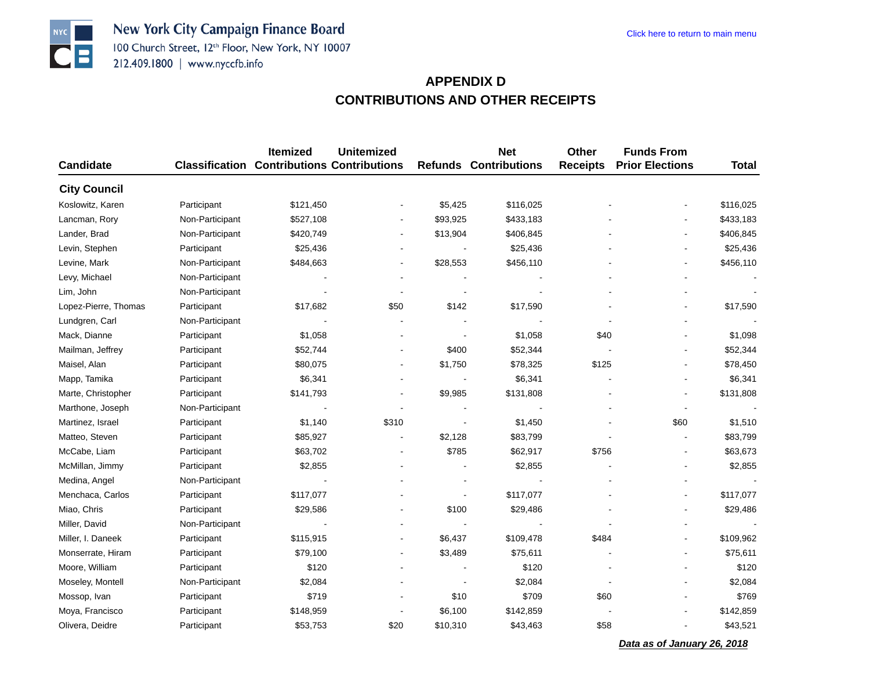# **APPENDIX DCONTRIBUTIONS AND OTHER RECEIPTS**

|                      |                 | <b>Itemized</b>                                   | <b>Unitemized</b>        |                          | <b>Net</b>                   | Other           | <b>Funds From</b>      |                          |
|----------------------|-----------------|---------------------------------------------------|--------------------------|--------------------------|------------------------------|-----------------|------------------------|--------------------------|
| <b>Candidate</b>     |                 | <b>Classification Contributions Contributions</b> |                          |                          | <b>Refunds Contributions</b> | <b>Receipts</b> | <b>Prior Elections</b> | <b>Total</b>             |
| <b>City Council</b>  |                 |                                                   |                          |                          |                              |                 |                        |                          |
| Koslowitz, Karen     | Participant     | \$121,450                                         |                          | \$5,425                  | \$116,025                    |                 |                        | \$116,025                |
| Lancman, Rory        | Non-Participant | \$527,108                                         | $\blacksquare$           | \$93,925                 | \$433,183                    |                 |                        | \$433,183                |
| Lander, Brad         | Non-Participant | \$420,749                                         |                          | \$13,904                 | \$406,845                    |                 |                        | \$406,845                |
| Levin, Stephen       | Participant     | \$25,436                                          |                          |                          | \$25,436                     |                 |                        | \$25,436                 |
| Levine, Mark         | Non-Participant | \$484,663                                         | $\overline{a}$           | \$28,553                 | \$456,110                    |                 |                        | \$456,110                |
| Levy, Michael        | Non-Participant |                                                   |                          |                          |                              |                 |                        |                          |
| Lim, John            | Non-Participant |                                                   |                          |                          |                              |                 |                        |                          |
| Lopez-Pierre, Thomas | Participant     | \$17,682                                          | \$50                     | \$142                    | \$17,590                     |                 |                        | \$17,590                 |
| Lundgren, Carl       | Non-Participant |                                                   |                          |                          |                              |                 |                        |                          |
| Mack, Dianne         | Participant     | \$1,058                                           |                          |                          | \$1,058                      | \$40            |                        | \$1,098                  |
| Mailman, Jeffrey     | Participant     | \$52,744                                          | $\overline{\phantom{a}}$ | \$400                    | \$52,344                     |                 |                        | \$52,344                 |
| Maisel, Alan         | Participant     | \$80,075                                          | $\overline{\phantom{a}}$ | \$1,750                  | \$78,325                     | \$125           |                        | \$78,450                 |
| Mapp, Tamika         | Participant     | \$6,341                                           | $\blacksquare$           |                          | \$6,341                      |                 |                        | \$6,341                  |
| Marte, Christopher   | Participant     | \$141,793                                         |                          | \$9,985                  | \$131,808                    |                 |                        | \$131,808                |
| Marthone, Joseph     | Non-Participant |                                                   |                          |                          |                              |                 |                        |                          |
| Martinez, Israel     | Participant     | \$1,140                                           | \$310                    | $\overline{a}$           | \$1,450                      |                 | \$60                   | \$1,510                  |
| Matteo, Steven       | Participant     | \$85,927                                          |                          | \$2,128                  | \$83,799                     |                 |                        | \$83,799                 |
| McCabe, Liam         | Participant     | \$63,702                                          |                          | \$785                    | \$62,917                     | \$756           |                        | \$63,673                 |
| McMillan, Jimmy      | Participant     | \$2,855                                           |                          |                          | \$2,855                      |                 |                        | \$2,855                  |
| Medina, Angel        | Non-Participant |                                                   |                          |                          |                              |                 |                        |                          |
| Menchaca, Carlos     | Participant     | \$117,077                                         |                          | $\overline{\phantom{a}}$ | \$117,077                    |                 |                        | \$117,077                |
| Miao, Chris          | Participant     | \$29,586                                          |                          | \$100                    | \$29,486                     |                 |                        | \$29,486                 |
| Miller, David        | Non-Participant |                                                   |                          |                          |                              |                 |                        | $\overline{\phantom{a}}$ |
| Miller, I. Daneek    | Participant     | \$115,915                                         | $\overline{\phantom{a}}$ | \$6,437                  | \$109,478                    | \$484           |                        | \$109,962                |
| Monserrate, Hiram    | Participant     | \$79,100                                          | ÷,                       | \$3,489                  | \$75,611                     |                 |                        | \$75,611                 |
| Moore, William       | Participant     | \$120                                             |                          |                          | \$120                        |                 |                        | \$120                    |
| Moseley, Montell     | Non-Participant | \$2,084                                           |                          |                          | \$2,084                      |                 |                        | \$2,084                  |
| Mossop, Ivan         | Participant     | \$719                                             |                          | \$10                     | \$709                        | \$60            |                        | \$769                    |
| Moya, Francisco      | Participant     | \$148,959                                         |                          | \$6,100                  | \$142,859                    |                 |                        | \$142,859                |
| Olivera, Deidre      | Participant     | \$53,753                                          | \$20                     | \$10,310                 | \$43,463                     | \$58            |                        | \$43,521                 |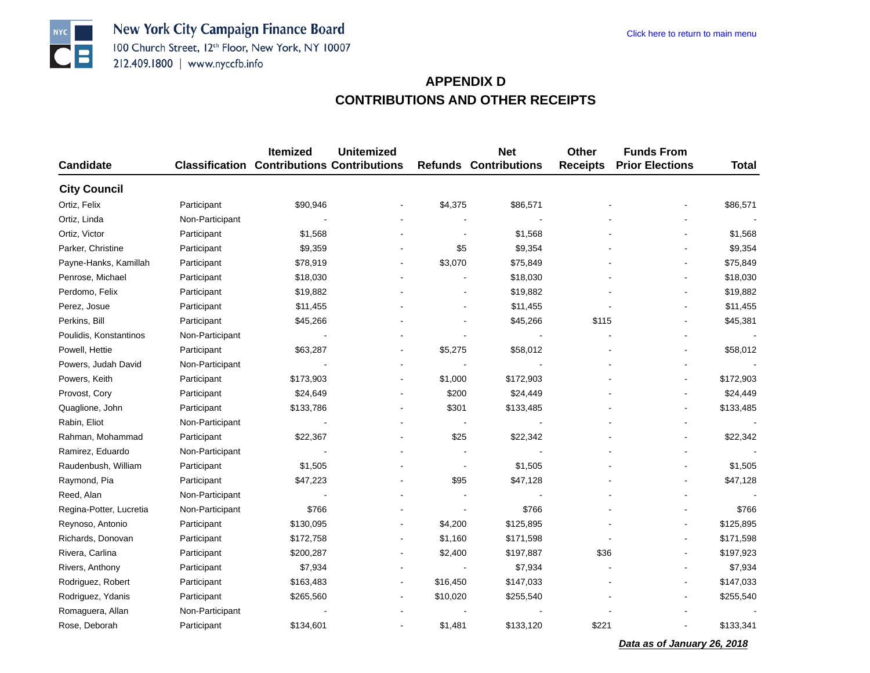New York City Campaign Finance Board 100 Church Street, 12th Floor, New York, NY 10007 212.409.1800 | www.nyccfb.info

## **APPENDIX DCONTRIBUTIONS AND OTHER RECEIPTS**

|                         |                 | Itemized                                          | <b>Unitemized</b>        |                          | <b>Net</b>                   | Other           | <b>Funds From</b>      |              |
|-------------------------|-----------------|---------------------------------------------------|--------------------------|--------------------------|------------------------------|-----------------|------------------------|--------------|
| <b>Candidate</b>        |                 | <b>Classification Contributions Contributions</b> |                          |                          | <b>Refunds Contributions</b> | <b>Receipts</b> | <b>Prior Elections</b> | <b>Total</b> |
| <b>City Council</b>     |                 |                                                   |                          |                          |                              |                 |                        |              |
| Ortiz, Felix            | Participant     | \$90,946                                          |                          | \$4,375                  | \$86,571                     |                 |                        | \$86,571     |
| Ortiz, Linda            | Non-Participant |                                                   |                          |                          |                              |                 |                        |              |
| Ortiz, Victor           | Participant     | \$1,568                                           |                          |                          | \$1,568                      |                 |                        | \$1,568      |
| Parker, Christine       | Participant     | \$9,359                                           |                          | \$5                      | \$9,354                      |                 |                        | \$9,354      |
| Payne-Hanks, Kamillah   | Participant     | \$78,919                                          |                          | \$3,070                  | \$75,849                     |                 |                        | \$75,849     |
| Penrose, Michael        | Participant     | \$18,030                                          |                          |                          | \$18,030                     |                 |                        | \$18,030     |
| Perdomo, Felix          | Participant     | \$19,882                                          |                          |                          | \$19,882                     |                 |                        | \$19,882     |
| Perez, Josue            | Participant     | \$11,455                                          |                          | L,                       | \$11,455                     |                 |                        | \$11,455     |
| Perkins, Bill           | Participant     | \$45,266                                          |                          |                          | \$45,266                     | \$115           |                        | \$45,381     |
| Poulidis, Konstantinos  | Non-Participant |                                                   |                          |                          |                              |                 |                        |              |
| Powell, Hettie          | Participant     | \$63,287                                          |                          | \$5,275                  | \$58,012                     |                 |                        | \$58,012     |
| Powers, Judah David     | Non-Participant |                                                   |                          |                          |                              |                 |                        |              |
| Powers, Keith           | Participant     | \$173,903                                         | $\blacksquare$           | \$1,000                  | \$172,903                    |                 |                        | \$172,903    |
| Provost, Cory           | Participant     | \$24,649                                          |                          | \$200                    | \$24,449                     |                 |                        | \$24,449     |
| Quaglione, John         | Participant     | \$133,786                                         |                          | \$301                    | \$133,485                    |                 |                        | \$133,485    |
| Rabin, Eliot            | Non-Participant |                                                   | $\blacksquare$           | $\overline{\phantom{a}}$ |                              |                 |                        |              |
| Rahman, Mohammad        | Participant     | \$22,367                                          |                          | \$25                     | \$22,342                     |                 |                        | \$22,342     |
| Ramirez, Eduardo        | Non-Participant |                                                   |                          |                          |                              |                 |                        |              |
| Raudenbush, William     | Participant     | \$1,505                                           |                          |                          | \$1,505                      |                 |                        | \$1,505      |
| Raymond, Pia            | Participant     | \$47,223                                          |                          | \$95                     | \$47,128                     |                 |                        | \$47,128     |
| Reed, Alan              | Non-Participant |                                                   |                          |                          |                              |                 |                        |              |
| Regina-Potter, Lucretia | Non-Participant | \$766                                             |                          |                          | \$766                        |                 |                        | \$766        |
| Reynoso, Antonio        | Participant     | \$130,095                                         | $\blacksquare$           | \$4,200                  | \$125,895                    |                 |                        | \$125,895    |
| Richards, Donovan       | Participant     | \$172,758                                         | Ĭ.                       | \$1,160                  | \$171,598                    |                 |                        | \$171,598    |
| Rivera, Carlina         | Participant     | \$200,287                                         | $\overline{\phantom{a}}$ | \$2,400                  | \$197,887                    | \$36            |                        | \$197,923    |
| Rivers, Anthony         | Participant     | \$7,934                                           |                          |                          | \$7,934                      |                 |                        | \$7,934      |
| Rodriguez, Robert       | Participant     | \$163,483                                         |                          | \$16,450                 | \$147,033                    |                 |                        | \$147,033    |
| Rodriguez, Ydanis       | Participant     | \$265,560                                         |                          | \$10,020                 | \$255,540                    |                 |                        | \$255,540    |
| Romaguera, Allan        | Non-Participant |                                                   |                          |                          |                              |                 |                        |              |
| Rose, Deborah           | Participant     | \$134,601                                         |                          | \$1,481                  | \$133,120                    | \$221           |                        | \$133,341    |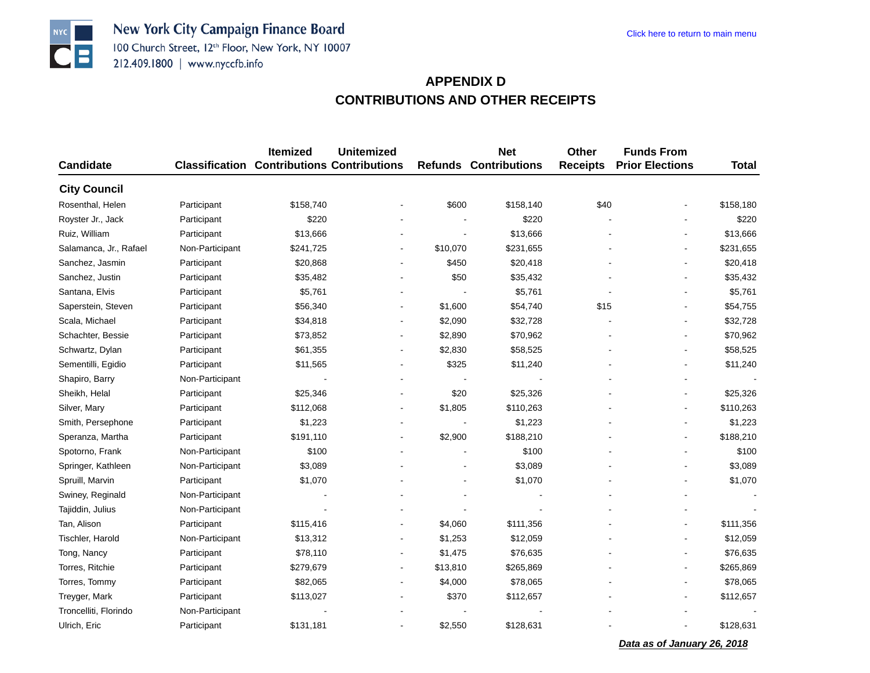New York City Campaign Finance Board 100 Church Street, 12th Floor, New York, NY 10007 212.409.1800 | www.nyccfb.info

**NYC** 

 $| \bullet | =$ 

## **APPENDIX DCONTRIBUTIONS AND OTHER RECEIPTS**

| <b>Candidate</b>       |                 | <b>Itemized</b><br><b>Classification Contributions Contributions</b> | <b>Unitemized</b>        |                | <b>Net</b><br><b>Refunds Contributions</b> | <b>Other</b><br><b>Receipts</b> | <b>Funds From</b><br><b>Prior Elections</b> | <b>Total</b> |
|------------------------|-----------------|----------------------------------------------------------------------|--------------------------|----------------|--------------------------------------------|---------------------------------|---------------------------------------------|--------------|
|                        |                 |                                                                      |                          |                |                                            |                                 |                                             |              |
| <b>City Council</b>    |                 |                                                                      |                          |                |                                            |                                 |                                             |              |
| Rosenthal, Helen       | Participant     | \$158,740                                                            |                          | \$600          | \$158,140                                  | \$40                            |                                             | \$158,180    |
| Royster Jr., Jack      | Participant     | \$220                                                                |                          |                | \$220                                      |                                 |                                             | \$220        |
| Ruiz, William          | Participant     | \$13,666                                                             |                          | ÷              | \$13,666                                   |                                 |                                             | \$13,666     |
| Salamanca, Jr., Rafael | Non-Participant | \$241,725                                                            | $\overline{\phantom{a}}$ | \$10,070       | \$231,655                                  |                                 |                                             | \$231,655    |
| Sanchez, Jasmin        | Participant     | \$20,868                                                             | $\overline{a}$           | \$450          | \$20,418                                   |                                 |                                             | \$20,418     |
| Sanchez, Justin        | Participant     | \$35,482                                                             | $\blacksquare$           | \$50           | \$35,432                                   |                                 |                                             | \$35,432     |
| Santana, Elvis         | Participant     | \$5,761                                                              |                          |                | \$5,761                                    |                                 |                                             | \$5,761      |
| Saperstein, Steven     | Participant     | \$56,340                                                             | $\overline{\phantom{a}}$ | \$1,600        | \$54,740                                   | \$15                            |                                             | \$54,755     |
| Scala, Michael         | Participant     | \$34,818                                                             |                          | \$2,090        | \$32,728                                   |                                 |                                             | \$32,728     |
| Schachter, Bessie      | Participant     | \$73,852                                                             | ÷,                       | \$2,890        | \$70,962                                   |                                 |                                             | \$70,962     |
| Schwartz, Dylan        | Participant     | \$61,355                                                             | $\blacksquare$           | \$2,830        | \$58,525                                   |                                 |                                             | \$58,525     |
| Sementilli, Egidio     | Participant     | \$11,565                                                             |                          | \$325          | \$11,240                                   |                                 |                                             | \$11,240     |
| Shapiro, Barry         | Non-Participant | $\blacksquare$                                                       |                          |                |                                            |                                 |                                             |              |
| Sheikh, Helal          | Participant     | \$25,346                                                             |                          | \$20           | \$25,326                                   |                                 |                                             | \$25,326     |
| Silver, Mary           | Participant     | \$112,068                                                            | $\overline{\phantom{a}}$ | \$1,805        | \$110,263                                  |                                 |                                             | \$110,263    |
| Smith, Persephone      | Participant     | \$1,223                                                              | $\blacksquare$           | $\blacksquare$ | \$1,223                                    |                                 |                                             | \$1,223      |
| Speranza, Martha       | Participant     | \$191,110                                                            | $\overline{\phantom{a}}$ | \$2,900        | \$188,210                                  |                                 |                                             | \$188,210    |
| Spotorno, Frank        | Non-Participant | \$100                                                                |                          |                | \$100                                      |                                 |                                             | \$100        |
| Springer, Kathleen     | Non-Participant | \$3,089                                                              |                          |                | \$3,089                                    |                                 |                                             | \$3,089      |
| Spruill, Marvin        | Participant     | \$1,070                                                              |                          |                | \$1,070                                    |                                 |                                             | \$1,070      |
| Swiney, Reginald       | Non-Participant |                                                                      |                          |                |                                            |                                 |                                             |              |
| Tajiddin, Julius       | Non-Participant |                                                                      |                          |                |                                            |                                 |                                             |              |
| Tan, Alison            | Participant     | \$115,416                                                            | $\blacksquare$           | \$4,060        | \$111,356                                  |                                 |                                             | \$111,356    |
| Tischler, Harold       | Non-Participant | \$13,312                                                             | $\blacksquare$           | \$1,253        | \$12,059                                   |                                 |                                             | \$12,059     |
| Tong, Nancy            | Participant     | \$78,110                                                             | $\overline{\phantom{a}}$ | \$1,475        | \$76,635                                   |                                 |                                             | \$76,635     |
| Torres, Ritchie        | Participant     | \$279,679                                                            | ÷,                       | \$13,810       | \$265,869                                  |                                 |                                             | \$265,869    |
| Torres, Tommy          | Participant     | \$82,065                                                             |                          | \$4,000        | \$78,065                                   |                                 |                                             | \$78,065     |
| Treyger, Mark          | Participant     | \$113,027                                                            |                          | \$370          | \$112,657                                  |                                 |                                             | \$112,657    |
| Troncelliti, Florindo  | Non-Participant |                                                                      |                          |                |                                            |                                 |                                             |              |
| Ulrich, Eric           | Participant     | \$131,181                                                            |                          | \$2,550        | \$128,631                                  |                                 |                                             | \$128,631    |